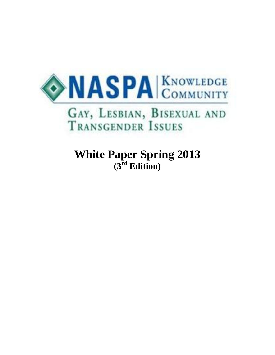

**White Paper Spring 2013 (3 rd Edition)**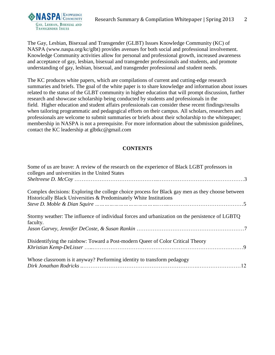

The Gay, Lesbian, Bisexual and Transgender (GLBT) Issues Knowledge Community (KC) of NASPA (www.naspa.org/kc/glbt) provides avenues for both social and professional involvement. Knowledge Community activities allow for personal and professional growth, increased awareness and acceptance of gay, lesbian, bisexual and transgender professionals and students, and promote understanding of gay, lesbian, bisexual, and transgender professional and student needs.

The KC produces white papers, which are compilations of current and cutting-edge research summaries and briefs. The goal of the white paper is to share knowledge and information about issues related to the status of the GLBT community in higher education that will prompt discussion, further research and showcase scholarship being conducted by students and professionals in the field. Higher education and student affairs professionals can consider these recent findings/results when tailoring programmatic and pedagogical efforts on their campus. All scholars, researchers and professionals are welcome to submit summaries or briefs about their scholarship to the whitepaper; membership in NASPA is not a prerequisite. For more information about the submission guidelines, contact the KC leadership at glbtkc@gmail.com

## **CONTENTS**

| Some of us are brave: A review of the research on the experience of Black LGBT professors in<br>colleges and universities in the United States                         |
|------------------------------------------------------------------------------------------------------------------------------------------------------------------------|
| Complex decisions: Exploring the college choice process for Black gay men as they choose between<br>Historically Black Universities & Predominately White Institutions |
| Stormy weather: The influence of individual forces and urbanization on the persistence of LGBTQ<br>faculty.                                                            |
| Disidentifying the rainbow: Toward a Post-modern Queer of Color Critical Theory                                                                                        |
| Whose classroom is it anyway? Performing identity to transform pedagogy                                                                                                |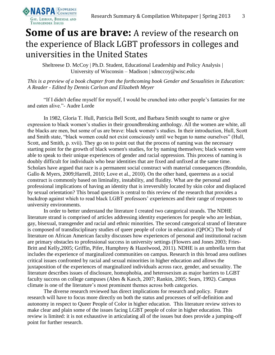

# **Some of us are brave:** A review of the research on the experience of Black LGBT professors in colleges and universities in the United States

Sheltreese D. McCoy | Ph.D. Student, Educational Leadership and Policy Analysis | University of Wisconsin – Madison | sdmccoy@wisc.edu

*This is a preview of a book chapter from the forthcoming book Gender and Sexualities in Education: A Reader - Edited by Dennis Carlson and Elizabeth Meyer*

"If I didn't define myself for myself, I would be crunched into other people's fantasies for me and eaten alive."- Audre Lorde

In 1982, Gloria T. Hull, Patricia Bell Scott, and Barbara Smith sought to name or give expression to black women's studies in their groundbreaking anthology. All the women are white, all the blacks are men, but some of us are brave: black women's studies. In their introduction, Hull, Scott and Smith state, "black women could not exist consciously until we began to name ourselves" (Hull, Scott, and Smith, p. xvii). They go on to point out that the process of naming was the necessary starting point for the growth of black women's studies, for by naming themselves; black women were able to speak to their unique experiences of gender and racial oppression. This process of naming is doubly difficult for individuals who bear identities that are fixed and unfixed at the same time. Scholars have argued that race is a permanent social construct with material consequences (Brondolo, Gallo & Myers, 2009;Harrell, 2010; Love et al., 2010). On the other hand, queerness as a social construct is commonly based on liminality, instability, and fluidity. What are the personal and professional implications of having an identity that is irreversibly located by skin color and displaced by sexual orientation? This broad question is central to this review of the research that provides a backdrop against which to read black LGBT professors' experiences and their range of responses to university environments.

In order to better understand the literature I created two categorical strands. The NDHE literature strand is comprised of articles addressing identity experiences for people who are lesbian, gay, bisexual, transgender and racial and ethnic minorities. The second categorical strand of literature is composed of transdisciplinary studies of queer people of color in education (QPOC) The body of literature on African American faculty discusses how experiences of personal and institutional racism are primary obstacles to professional success in university settings (Flowers and Jones 2003; Fries-Britt and Kelly,2005; Griffin, Pifer, Humphrey & Hazelwood, 2011). NDHE is an umbrella term that includes the experience of marginalized communities on campus. Research in this broad area outlines critical issues confronted by racial and sexual minorities in higher education and allows the juxtaposition of the experiences of marginalized individuals across race, gender, and sexuality. The literature describes issues of disclosure, homophobia, and heterosexism as major barriers to LGBT faculty success on college campuses (Abes & Kasch, 2007; Rankin, 2005; Sears, 1992). Campus climate is one of the literature's most prominent themes across both categories.

The diverse research reviewed has direct implications for research and policy. Future research will have to focus more directly on both the status and processes of self-definition and autonomy in respect to Queer People of Color in higher education. This literature review strives to make clear and plain some of the issues facing LGBT people of color in higher education. This review is limited: it is not exhaustive in articulating all of the issues but does provide a jumping-off point for further research.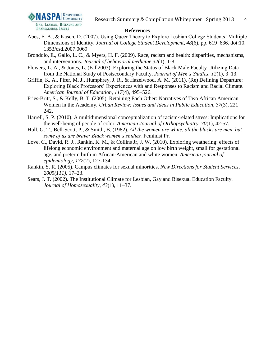#### **References**

- Abes, E. A., & Kasch, D. (2007). Using Queer Theory to Explore Lesbian College Students' Multiple Dimensions of Identity*. Journal of College Student Development, 48*(6), pp. 619–636. doi:10. 1353/csd.2007.0069
- Brondolo, E., Gallo, L. C., & Myers, H. F. (2009). Race, racism and health: disparities, mechanisms, and interventions. *Journal of behavioral medicine,32*(1), 1-8.
- Flowers, L. A., & Jones, L. (Fall2003). Exploring the Status of Black Male Faculty Utilizing Data from the National Study of Postsecondary Faculty. *Journal of Men's Studies, 12*(1), 3–13.
- Griffin, K. A., Pifer, M. J., Humphrey, J. R., & Hazelwood, A. M. (2011). (Re) Defining Departure: Exploring Black Professors' Experiences with and Responses to Racism and Racial Climate. *American Journal of Education, 117*(4), 495–526.
- Fries-Britt, S., & Kelly, B. T. (2005). Retaining Each Other: Narratives of Two African American Women in the Academy. *Urban Review: Issues and Ideas in Public Education, 37*(3), 221– 242.
- Harrell, S. P. (2010). A multidimensional conceptualization of racism-related stress: Implications for the well‐being of people of color. *American Journal of Orthopsychiatry*, *70*(1), 42-57.
- Hull, G. T., Bell-Scott, P., & Smith, B. (1982). *All the women are white, all the blacks are men, but some of us are brave: Black women's studies.* Feminist Pr.
- Love, C., David, R. J., Rankin, K. M., & Collins Jr, J. W. (2010). Exploring weathering: effects of lifelong economic environment and maternal age on low birth weight, small for gestational age, and preterm birth in African-American and white women. *American journal of epidemiology, 172*(2), 127-134.
- Rankin, S. R. (2005). Campus climates for sexual minorities. *New Directions for Student Services, 2005(111)*, 17–23.
- Sears, J. T. (2002). The Institutional Climate for Lesbian, Gay and Bisexual Education Faculty. *Journal of Homosexuality, 43*(1), 11–37.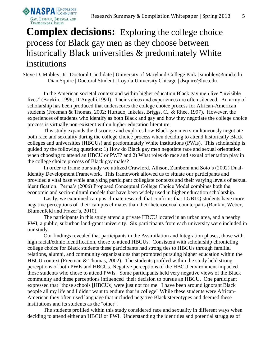

# **Complex decisions:** Exploring the college choice process for Black gay men as they choose between historically Black universities & predominately White institutions

Steve D. Mobley, Jr | Doctoral Candidate | University of Maryland-College Park | smobley@umd.edu Dian Squire | Doctoral Student | Loyola University Chicago | dsquire@luc.edu

In the American societal context and within higher education Black gay men live "invisible lives" (Boykin, 1996; D'Augelli,1994). Their voices and experiences are often silenced. An array of scholarship has been produced that underscores the college choice process for African-American students (Freeman & Thomas, 2002; Hurtado, Inkelas, Briggs, C., & Rhee, 1997). However, the experiences of students who identify as both Black and gay and how they negotiate the college choice process is virtually non-existent within higher education literature.

This study expands the discourse and explores how Black gay men simultaneously negotiate both race and sexuality during the college choice process when deciding to attend historically Black colleges and universities (HBCUs) and predominately White institutions (PWIs). This scholarship is guided by the following questions: 1) How do Black gay men negotiate race and sexual orientation when choosing to attend an HBCU or PWI? and 2) What roles do race and sexual orientation play in the college choice process of Black gay males?

In order to frame our study we utilized Crawford, Allison, Zamboni and Soto's (2002) Dual-Identity Development Framework. This framework allowed us to situate our participants and provided a vital base while analyzing participant collegiate contexts and their varying levels of sexual identification. Perna's (2006) Proposed Conceptual College Choice Model combines both the economic and socio-cultural models that have been widely used in higher education scholarship.

Lastly, we examined campus climate research that confirms that LGBTQ students have more negative perceptions of their campus climates than their heterosexual counterparts (Rankin, Weber, Blumenfeld and Frazer's, 2010).

The participants in this study attend a private HBCU located in an urban area, and a nearby PWI, a public, suburban land-grant university. Six participants from each university were included in our study.

Our findings revealed that participants in the Assimilation and Integration phases, those with high racial/ethnic identification, chose to attend HBCUs. Consistent with scholarship chronicling college choice for Black students these participants had strong ties to HBCUs through familial relations, alumni, and community organizations that promoted pursuing higher education within the HBCU context (Freeman & Thomas, 2002). The students profiled within the study held strong perceptions of both PWIs and HBCUs. Negative perceptions of the HBCU environment impacted those students who chose to attend PWIs. Some participants held very negative views of the Black community and these perceptions influenced their decision to pursue an HBCU. One participant expressed that "those schools [HBCUs] were just not for me. I have been around ignorant Black people all my life and I didn't want to endure that in college" While these students were African-American they often used language that included negative Black stereotypes and deemed these institutions and its students as the "other".

The students profiled within this study considered race and sexuality in different ways when deciding to attend either an HBCU or PWI. Understanding the identities and potential struggles of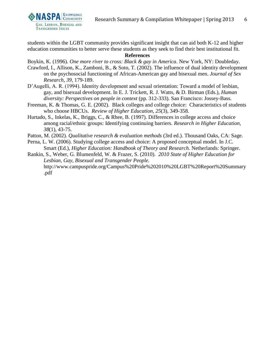students within the LGBT community provides significant insight that can aid both K-12 and higher education communities to better serve these students as they seek to find their best institutional fit.

#### **References**

Boykin, K. (1996). *One more river to cross: Black & gay in America*. New York, NY: Doubleday.

- Crawford, I., Allison, K., Zamboni, B., & Soto, T. (2002). The influence of dual identity development on the psychosocial functioning of African-American gay and bisexual men. *Journal of Sex Research, 39*, 179-189.
- D'Augelli, A. R. (1994). Identity development and sexual orientation: Toward a model of lesbian, gay, and bisexual development. In E. J. Trickett, R. J. Watts, & D. Birman (Eds.), *Human*  diversity: Perspectives on people in context (pp. 312-333). San Francisco: Jossey-Bass.
- Freeman, K. & Thomas, G. E. (2002). Black colleges and college choice: Characteristics of students who choose HBCUs. *Review of Higher Education, 25*(3), 349-358.
- Hurtado, S., Inkelas, K., Briggs, C., & Rhee, B. (1997). Differences in college access and choice among racial/ethnic groups: Identifying continuing barriers. *Research in Higher Education*, *38*(1), 43-75.

Patton, M. (2002). *Qualitative research & evaluation methods* (3rd ed.). Thousand Oaks, CA: Sage.

- Perna, L. W. (2006). Studying college access and choice: A proposed conceptual model. In J.C. Smart (Ed.), *Higher Education: Handbook of Theory and Research.* Netherlands: Springer.
- Rankin, S., Weber, G. Blumenfeld, W. & Frazer, S. (2010). *2010 State of Higher Education for Lesbian, Gay, Bisexual and Transgender People.* http://www.campuspride.org/Campus%20Pride%202010%20LGBT%20Report%20Summary .pdf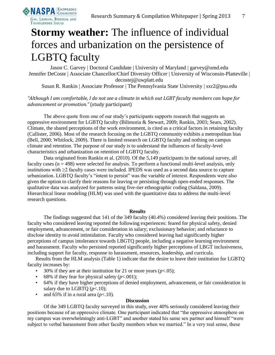

# **Stormy weather:** The influence of individual forces and urbanization on the persistence of LGBTQ faculty

Jason C. Garvey | Doctoral Candidate | University of Maryland | garvey@umd.edu Jennifer DeCoste | Associate Chancellor/Chief Diversity Officer | University of Wisconsin-Platteville | decostej@uwplatt.edu

Susan R. Rankin | Associate Professor | The Pennsylvania State University | sxr2@psu.edu

*"Although I am comfortable, I do not see a climate in which out LGBT faculty members can hope for advancement or promotion."* (study participant)

The above quote from one of our study's participants supports research that suggests an oppressive environment for LGBTQ faculty (Bilimoria & Stewart, 2009; Rankin, 2003; Sears, 2002). Climate, the shared perceptions of the work environment, is cited as a critical factors in retaining faculty (Callister, 2006). Most of the research focusing on the LGBTQ community exhibits a metropolitan bias (Bell, 2000; Whitlock, 2009). There is limited research on LGBTQ faculty and nothing on campus climate and retention. The purpose of our study is to understand the influences of faculty-level characteristics and urbanization on retention of LGBTQ faculty.

Data originated from Rankin et al. (2010). Of the 5,149 participants in the national survey, all faculty cases  $(n = 498)$  were selected for analysis. To perform a functional multi-level analysis, only institutions with ≥2 faculty cases were included. IPEDS was used as a second data source to capture urbanization. LGBTQ faculty's "intent to persist" was the variable of interest. Respondents were also given the option to clarify their reasons for leaving or persisting through open-ended responses. The qualitative data was analyzed for patterns using five-tier ethnographic coding (Saldana, 2009). Hierarchical linear modeling (HLM) was used with the quantitative data to address the multi-level research questions.

#### **Results**

The findings suggested that 141 of the 349 faculty (40.4%) considered leaving their positions. The faculty who considered leaving reported the following experiences: feared for physical safety, denied employment, advancement, or fair consideration in salary; exclusionary behavior; and reluctance to disclose identity to avoid intimidation. Faculty who considered leaving had significantly higher perceptions of campus intolerance towards LBGTQ people, including a negative learning environment and harassment. Faculty who persisted reported significantly higher perceptions of LBGT inclusiveness, including support for faculty, response to harassment, resources, leadership, and curricula.

Results from the HLM analysis (Table 1) indicate that the desire to leave their institution for LGBTQ faculty increases by:

- 30% if they are at their institution for 21 or more years  $(p<.05)$ ;
- 68% if they fear for physical safety  $(p<.001)$ ;
- 64% if they have higher perceptions of denied employment, advancement, or fair consideration in salary due to LGBTQ ( $p$ <.10);
- and  $65\%$  if in a rural area  $(p<.10)$ .

#### **Discussion**

Of the 349 LGBTQ faculty surveyed in this study, over 40% seriously considered leaving their positions because of an oppressive climate. One participant indicated that "the oppressive atmosphere on my campus was overwhelmingly anti-LGBT" and another stated his same sex partner and himself "were subject to verbal harassment from other faculty members when we married." In a very real sense, these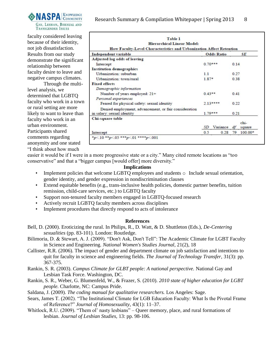

faculty considered leaving because of their identity, not job dissatisfaction. Results from our study demonstrate the significant relationship between faculty desire to leave and negative campus climates.

Through the multilevel analysis, we determined that LGBTQ faculty who work in a town or rural setting are more likely to want to leave than faculty who work in an urban environment. Participants shared comments regarding anonymity and one stated "I think about how much

| <b>Hierarchical Linear Model:</b>                                   |                   |          |           |         |
|---------------------------------------------------------------------|-------------------|----------|-----------|---------|
| How Faculty-Level Characteristics and Urbanization Affect Retention |                   |          |           |         |
| Independent variable                                                | <b>Odds Ratio</b> |          | <b>SE</b> |         |
| Adjusted log odds of leaving                                        |                   |          |           |         |
| Intercept                                                           | $0.70***$         |          | 0.14      |         |
| <b>Institution demographics</b>                                     |                   |          |           |         |
| Urbanization: suburban                                              | 11                |          | 0.27      |         |
| Urbanization: town/rural                                            | $1.87*$           |          | 0.38      |         |
| <b>Fixed effects</b>                                                |                   |          |           |         |
| Demographic information                                             |                   |          |           |         |
| Number of years employed: 21+                                       | $0.43**$          |          | 0.41      |         |
| Personal experiences                                                |                   |          |           |         |
| Feared for physical safety: sexual identity                         | $2.13****$        |          | 0.22      |         |
| Denied employment, advancement, or fair consideration               |                   |          |           |         |
| in salary: sexual identity                                          | $1.79***$         |          | 0.21      |         |
| Chi-square table                                                    |                   |          |           |         |
|                                                                     |                   |          |           | $chi$ - |
|                                                                     | SD                | Variance | df        | square  |
| Intercept                                                           | 0.5               | 0.28     | 79        | 100.00* |

easier it would be if I were in a more progressive state or a city." Many cited remote locations as "too conservative" and that a "bigger campus [would offer] more diversity."

#### **Implications**

- Implement policies that welcome LGBTQ employees and students  $\circ$  Include sexual orientation, gender identity, and gender expression in nondiscrimination clauses
- Extend equitable benefits (e.g., trans-inclusive health policies, domestic partner benefits, tuition remission, child-care services, etc.) to LGBTQ faculty
- Support non-tenured faculty members engaged in LGBTQ-focused research
- Actively recruit LGBTQ faculty members across disciplines
- Implement procedures that directly respond to acts of intolerance

#### **References**

- Bell, D. (2000). Eroticizing the rural. In Philips, R., D. Watt, & D. Shuttleton (Eds.), *De-Centering sexualities* (pp. 83-101). London: Routledge.
- Bilimoria, D. & Stewart, A. J. (2009). "Don't Ask, Don't Tell": The Academic Climate for LGBT Faculty in Science and Engineering. *National Women's Studies Journal,* 21(2), 18
- Callister, R.R. (2006). The impact of gender and department climate on job satisfaction and intentions to quit for faculty in science and engineering fields. *The Journal of Technology Transfer,* 31(3): pp. 367-375.
- Rankin, S. R. (2003). *Campus Climate for GLBT people: A national perspective.* National Gay and Lesbian Task Force. Washington, DC.
- Rankin, S. R., Weber, G. Blumenfeld, W., & Frazer, S. (2010). *2010 state of higher education for LGBT people.* Charlotte, NC: Campus Pride.
- Saldana, J. (2009). *The coding manual for qualitative researchers.* Los Angeles: Sage.
- Sears, James T. (2002). "The Institutional Climate for LGB Education Faculty: What Is the Pivotal Frame of Reference?" *Journal of Homosexuality,* 43(1): 11–37.
- Whitlock, R.U. (2009). "Them ol' nasty lesbians" Queer memory, place, and rural formations of lesbian. *Journal of Lesbian Studies,* 13: pp. 98-106.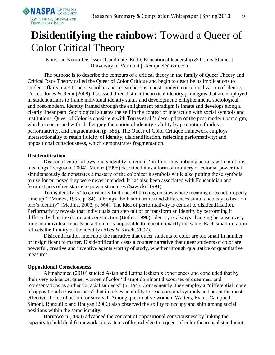

# **Disidentifying the rainbow:** Toward a Queer of Color Critical Theory

Khristian Kemp-DeLisser | Candidate, Ed.D, Educational leadership & Policy Studies | University of Vermont | kkempdel@uvm.edu

The purpose is to describe the contours of a critical theory in the family of Queer Theory and Critical Race Theory called the Queer of Color Critique and begin to describe its implications to student affairs practitioners, scholars and researchers as a post-modern conceptualization of identity. Torres, Jones & Renn (2009) discussed three distinct theoretical identity paradigms that are employed in student affairs to frame individual identity status and development: enlightenment, sociological, and post-modern. Identity framed through the enlightment paradigm is innate and develops along a clearly linear path. Sociological situates the self in the context of interaction with social symbols and institutions. Queer of Color is consistent with Torres et al.'s description of the post-modern paradigm, which is concerned with challenging the notion of identity stability by promoting fluidity, performativity, and fragmentation (p. 586). The Queer of Color Critique framework employs intersectionality to retain fluidity of identity; disidentification, reflecting performativity; and oppositional consciousness, which demonstrates fragmentation.

#### **Disidentification**

Disidentification allows one's identity to remain "in-flux, thus imbuing actions with multiple meanings (Ferguson, 2004). Munoz (1995) described it as a form of mimicry of colonial power that simultaneously demonstrates a mastery of the colonizer's symbols while also putting those symbols to use for purposes they were never intended. It has also been associated with Foucauldian and feminist acts of resistance to power structures (Sawicki, 1991).

To disidentify is "to constantly find oneself thriving on sites where meaning does not properly 'line up'" (Munoz, 1995, p. 84). It brings "both similarities and differences simultaneously to bear on one's identity" (Medina, 2002, p. 664). The idea of performativity is central to disidentification. Performativity reveals that individuals can step out of or transform an identity by performing it differently than the dominant construction (Butler, 1990). Identity is always changing because every time an individual repeats an action, it is impossible to repeat it exactly the same. Each small iteration reflects the fluidity of the identity (Abes & Kasch, 2007).

Disidentification interrupts the narrative that queer students of color are too small in number or insignificant to matter. Disidentification casts a counter narrative that queer students of color are powerful, creative and inventive agents worthy of study, whether through qualitative or quantitative measures.

#### **Oppositional Consciousness**

Alimahomed (2010) studied Asian and Latina lesbian's experiences and concluded that by their very existence, queer women of color "disrupt dominant discourses of queerness and representations as authentic racial subjects" (p. 154). Consequently, they employ a "differential mode of oppositional consciousness" that involves an ability to read cues and symbols and adopt the most effective choice of action for survival. Among queer native women, Walters, Evans-Campbell, Simoni, Ronquillo and Bhuyan (2006) also observed the ability to occupy and shift among social positions within the same identity.

Haritaworn (2008) advanced the concept of oppositional consciousness by linking the capacity to hold dual frameworks or systems of knowledge to a queer of color theoretical standpoint.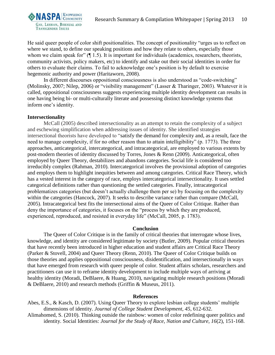

He said queer people of color shift positionalities. The concept of positionality "urges us to reflect on where we stand, to define our speaking positions and how they relate to others, especially those whom we claim speak for" (¶ 1.5). It is important for individuals (academics, researchers, theorists, community activists, policy makers, etc) to identify and stake out their social identities in order for others to evaluate their claims. To fail to acknowledge one's position is by default to exercise hegemonic authority and power (Haritaworn, 2008).

In different discourses oppositional consciousness is also understood as "code-switching" (Molinsky, 2007; Nilep, 2006) or "visibility management" (Lasser & Tharinger, 2003). Whatever it is called, oppositional consciousness suggests experiencing multiple identity development can results in one having being bi- or multi-culturally literate and possessing distinct knowledge systems that inform one's identity.

#### **Intersectionality**

McCall (2005) described intersectionality as an attempt to retain the complexity of a subject and eschewing simplification when addressing issues of identity. She identified strategies intersectional theorists have developed to "satisfy the demand for complexity and, as a result, face the need to manage complexity, if for no other reason than to attain intelligibility" (p. 1773). The three approaches, anticategorical, intercategorical, and intracategorical, are employed to various extents by post-modern theories of identity discussed by Torres, Jones & Renn (2009). Anticategorical, often employed by Queer Theory, destabilizes and abandons categories. Social life is considered too irreducibly complex (Rahman, 2010). Intercategorical involves the provisional adoption of categories and employs them to highlight inequities between and among categories. Critical Race Theory, which has a vested interest in the category of race, employs intercategorical intersectionality. It uses settled categorical definitions rather than questioning the settled categories. Finally, intracategorical problematizes categories (but doesn't actually challenge them per se) by focusing on the complexity within the categories (Hancock, 2007). It seeks to describe variance rather than compare (McCall, 2005). Intracategorical best fits the intersectional aims of the Queer of Color Critique. Rather than deny the importance of categories, it focuses on the "process by which they are produced, experienced, reproduced, and resisted in everyday life" (McCall, 2005, p. 1783).

#### **Conclusion**

The Queer of Color Critique is in the family of critical theories that interrogate whose lives, knowledge, and identity are considered legitimate by society (Butler, 2009). Popular critical theories that have recently been introduced in higher education and student affairs are Critical Race Theory (Parker & Stovell, 2004) and Queer Theory (Renn, 2010). The Queer of Color Critique builds on those theories and applies oppositional consciousness, disidentification, and intersectionally in ways that have emerged from research with queer people of color. Student affairs scholars, researchers and practitioners can use it to reframe identity development to include multiple ways of arriving at healthy identity (Moradi, DeBlaere, & Huang, 2010), navigating multiple research positions (Moradi & DeBlaere, 2010) and research methods (Griffin & Museus, 2011).

#### **References**

Abes, E.S., & Kasch, D. (2007). Using Queer Theory to explore lesbian college students' multiple dimensions of identity. *Journal of College Student Development, 45*, 612-632.

Alimahomed, S. (2010). Thinking outside the rainbow: women of color redefining queer politics and identity. Social Identities: *Journal for the Study of Race, Nation and Culture, 16*(2), 151-168.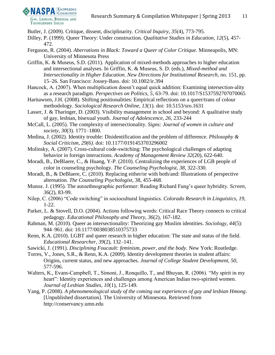

Butler, J. (2009). Critique, dissent, disciplinarity. *Critical Inquiry, 35*(4), 773-795.

- Dilley, P. (1999). Queer Theory: Under construction. *Qualitative Studies in Education, 12*(5), 457- 472.
- Ferguson, R. (2004). *Aberrations in Black: Toward a Queer of Color Critique.* Minneapolis, MN: University of Minnesota Press
- Griffin, K. & Museus, S.D. (2011). Application of mixed-methods approaches to higher education and intersectional analyses. In Griffin, K. & Museus, S. D. (eds.), *Mixed-method and Intersectionality in Higher Education. New Directions for Institutional Research*, no. 151, pp. 15–26. San Francisco: Jossey-Bass. doi: 10.1002/ir.394
- Hancock, A. (2007). When multiplication doesn't equal quick addition: Examining intersection-ality as a research paradigm. *Perspectives on Politics, 5*, 63-79. doi: 10.1017/S1537592707070065
- Haritaworn, J.H. (2008). Shifting positionalities: Empirical reflections on a queer/trans of colour methodology. *Sociological Research Online, 13*(1). doi: 10.5153/sro.1631
- Lasser, J. & Tharinger, D. (2003). Visibility management in school and beyond: A qualitative study of gay, lesbian, bisexual youth. *Journal of Adolescence, 26*, 233-244
- McCall, L. (2005). The complexity of intersectionality. *Signs: Journal of women in culture and society, 30*(3). 1771–1800.
- Medina, J. (2002). Identity trouble: Disidentification and the problem of difference. *Philosophy & Social Criticism, 29(6)*. doi: 10.1177/0191453703296002
- Molinsky, A. (2007). Cross-cultural code-switching: The psychological challenges of adapting behavior in foreign interactions. *Academy of Management Review 32*(20), 622-640.
- Moradi, B., DeBlaere, C., & Huang, Y-P. (2010). Centralizing the experiences of LGB people of color in counseling psychology. *The Counseling Psychologist, 38*, 322-330.
- Moradi, B., & DeBlaere, C. (2010). Replacing either/or with both/and: Illustrations of perspective alternation. *The Counseling Psychologist*, 38, 455-468.
- Munoz. J. (1995). The autoethnographic performer: Reading Richard Fung's queer hybridity. *Screen, 36*(2), 83-99.
- Nilep, C. (2006) "Code switching" in sociocultural linguistics. *Colorado Research in Linguistics, 19*, 1-22.
- Parker, L. & Stovell, D.O. (2004). Actions following words: Critical Race Theory connects to critical pedagogy. *Educational Philosophy and Theory, 36*(2), 167-182.
- Rahman, M. (2010). Queer as intersectionality: Theorizing gay Muslim identities. *Sociology, 44*(5): 944–961. doi: 10.1177/0038038510375733
- Renn, K.A. (2010). LGBT and queer research in higher education: The state and status of the field. *Educational Researcher, 39*(2), 132–141.
- Sawicki, J. (1991). *Disciplining Foucault: feminism, power, and the body.* New York: Routledge.
- Torres, V., Jones, S.R., & Renn, K.A. (2009). Identity development theories in student affairs: Origins, current status, and new approaches. *Journal of College Student Development, 50*, 577-596.
- Walters, K., Evans-Campbell, T., Simoni, J., Ronquillo, T., and Bhuyan, R. (2006). "My spirit in my heart": Identity experiences and challenges among American Indian two-spirited women. *Journal of Lesbian Studies, 10*(1), 125-149.
- Yang, P. (2008). *A phenomenological study of the coming out experiences of gay and lesbian Hmong*. [Unpublished dissertation]. The University of Minnesota. Retrieved from http://conservancy.umn.edu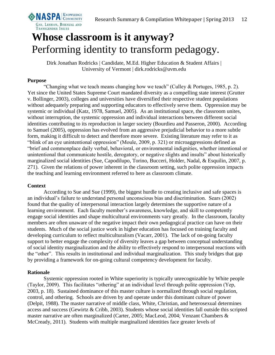

# **Whose classroom is it anyway?**  Performing identity to transform pedagogy.

Dirk Jonathan Rodricks | Candidate, M.Ed. Higher Education & Student Affairs | University of Vermont | dirk.rodricks@uvm.edu

### **Purpose**

"Changing what we teach means changing how we teach" (Culley  $&$  Portuges, 1985, p. 2). Yet since the United States Supreme Court mandated diversity as a compelling state interest (Grutter v. Bollinger, 2003), colleges and universities have diversified their respective student populations without adequately preparing and supporting educators to effectively serve them. Oppression may be systemic or individual (Katz, 1978, Samuel, 2005). As an institutional space, the classroom unites, without interruption, the systemic oppression and individual interactions between different social identities contributing to its reproduction in larger society (Bourdieu and Passeron, 2000). According to Samuel (2005), oppression has evolved from an aggressive prejudicial behavior to a more subtle form, making it difficult to detect and therefore more severe. Existing literature may refer to it as "blink of an eye unintentional oppression" (Moule, 2009, p. 321) or microaggressions defined as "brief and commonplace daily verbal, behavioral, or environmental indignities, whether intentional or unintentional that communicate hostile, derogatory, or negative slights and insults" about historically marginalized social identities (Sue, Capodilupo, Torino, Bucceri, Holder, Nadal, & Esquilin, 2007, p. 271). Given the relations of power inherent in the classroom setting, such polite oppression impacts the teaching and learning environment referred to here as classroom climate.

## **Context**

According to Sue and Sue (1999), the biggest hurdle to creating inclusive and safe spaces is an individual's failure to understand personal unconscious bias and discrimination. Sears (2002) found that the quality of interpersonal interaction largely determines the supportive nature of a learning environment. Each faculty member's awareness, knowledge, and skill to competently engage social identities and shape multicultural environments vary greatly. In the classroom, faculty members are often unaware of the negative impact their own pedagogical practice can have on their students. Much of the social justice work in higher education has focused on training faculty and developing curriculum to reflect multiculturalism (Vacarr, 2001). The lack of on-going faculty support to better engage the complexity of diversity leaves a gap between conceptual understanding of social identity marginalization and the ability to effectively respond to interpersonal reactions with the "other". This results in institutional and individual marginalization. This study bridges that gap by providing a framework for on-going cultural competency development for faculty.

## **Rationale**

Systemic oppression rooted in White superiority is typically unrecognizable by White people (Taylor, 2009). This facilitates "othering" at an individual level through polite oppression (Yep, 2003, p. 18). Sustained dominance of this master culture is normalized through social regulation, control, and othering. Schools are driven by and operate under this dominant culture of power (Delpit, 1988). The master narrative of middle class, White, Christian, and heterosexual determines access and success (Gewirtz & Cribb, 2003). Students whose social identities fall outside this scripted master narrative are often marginalized (Carter, 2005; MacLeod, 2004; Venzant Chambers & McCready, 2011). Students with multiple marginalized identities face greater levels of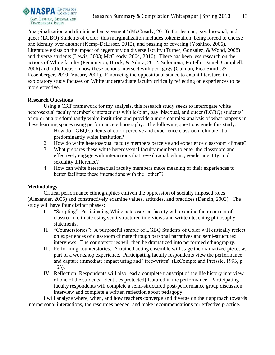

"marginalization and diminished engagement" (McCready, 2010). For lesbian, gay, bisexual, and queer (LGBQ) Students of Color, this marginalization includes tokenization, being forced to choose one identity over another (Kemp-DeLisser, 2012), and passing or covering (Yoshino, 2006). Literature exists on the impact of hegemony on diverse faculty (Turner, Gonzalez, & Wood, 2008) and diverse students (Lewis, 2003; McCready, 2004, 2010). There has been less research on the actions of White faculty (Pennington, Brock, & Ndura, 2012; Solomona, Portelli, Daniel, Campbell, 2006) and little focus on how these actions intersect with pedagogy (Galman, Pica-Smith, & Rosenberger, 2010; Vacarr, 2001). Embracing the oppositional stance to extant literature, this exploratory study focuses on White undergraduate faculty critically reflecting on experiences to be more effective.

### **Research Questions**

Using a CRT framework for my analysis, this research study seeks to interrogate white heterosexual faculty member's interactions with lesbian, gay, bisexual, and queer (LGBQ) students' of color at a predominantly white institution and provide a more complex analysis of what happens in these learning spaces using performance ethnography. The following questions guide this study:

- 1. How do LGBQ students of color perceive and experience classroom climate at a predominantly white institution?
- 2. How do white heterosexual faculty members perceive and experience classroom climate?
- 3. What prepares these white heterosexual faculty members to enter the classroom and effectively engage with interactions that reveal racial, ethnic, gender identity, and sexuality difference?
- 4. How can white heterosexual faculty members make meaning of their experiences to better facilitate these interactions with the "other"?

#### **Methodology**

Critical performance ethnographies enliven the oppression of socially imposed roles (Alexander, 2005) and constructively examine values, attitudes, and practices (Denzin, 2003). The study will have four distinct phases:

- I. "Scripting": Participating White heterosexual faculty will examine their concept of classroom climate using semi-structured interviews and written teaching philosophy statements.
- II. "Counterstories": A purposeful sample of LGBQ Students of Color will critically reflect on experiences of classroom climate through personal narratives and semi-structured interviews. The counterstories will then be dramatized into performed ethnography.
- III. Performing counterstories: A trained acting ensemble will stage the dramatized pieces as part of a workshop experience. Participating faculty respondents view the performance and capture immediate impact using and "free-writes" (LeCompte and Preissle, 1993, p. 165).
- IV. Reflection: Respondents will also read a complete transcript of the life history interview of one of the students [identities protected] featured in the performance. Participating faculty respondents will complete a semi-structured post-performance group discussion interview and complete a written reflection about pedagogy.

I will analyze where, when, and how teachers converge and diverge on their approach towards interpersonal interactions, the resources needed, and make recommendations for effective practice.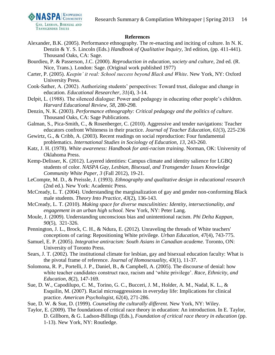

### **References**

- Alexander, B.K. (2005). Performance ethnography. The re-enacting and inciting of culture. In N. K. Denzin & Y. S. Lincoln (Eds.) *Handbook of Qualitative Inquiry,* 3rd edition, (pp. 411-441). Thousand Oaks, CA: Sage.
- Bourdieu, P. & Passerson, J.C. (2000). *Reproduction in education, society and culture,* 2nd ed. (R. Nice, Trans.). London: Sage. (Original work published 1977)
- Carter, P. (2005). *Keepin' it real: School success beyond Black and White*. New York, NY: Oxford University Press.
- Cook-Sather, A. (2002). Authorizing students' perspectives: Toward trust, dialogue and change in education. *Educational Researcher, 31*(4), 3-14.
- Delpit, L. (1988). The silenced dialogue: Power and pedagogy in educating other people's children. *Harvard Educational Review, 58*, 280-298.
- Denzin, N. K. (2003). *Performance ethnography: Critical pedagogy and the politics of culture.*  Thousand Oaks, CA: Sage Publications.
- Galman, S., Pica-Smith, C., & Rosenberger, C. (2010). Aggressive and tender navigations: Teacher educators confront Whiteness in their practice. *Journal of Teacher Education, 61*(3), 225-236
- Gewirtz, G., & Cribb, A. (2003). Recent readings on social reproduction: Four fundamental problematics. *International Studies in Sociology of Education, 13,* 243-260.
- Katz, J. H. (1978). *White awareness: Handbook for anti-racism training.* Norman, OK: University of Oklahoma Press.
- Kemp-Delisser, K. (2012). Layered identities: Campus climate and identity salience for LGBQ students of color. *NASPA Gay, Lesbian, Bisexual, and Transgender Issues Knowledge Community White Paper, 3* (Fall 2012), 19-21.
- LeCompte, M. D., & Preissle, J. (1993). *Ethnography and qualitative design in educational research* (2nd ed.). New York: Academic Press.
- McCready, L. T. (2004). Understanding the marginalization of gay and gender non-conforming Black male students. *Theory Into Practice, 43*(2), 136-143.
- McCready, L. T. (2010). *Making space for diverse masculinities: Identity, intersectionality, and engagement in an urban high school.* New York, NY: Peter Lang.
- Moule, J. (2009). Understanding unconscious bias and unintentional racism. *Phi Delta Kappan, 90*(5), 321-326.
- Pennington, J. L., Brock, C. H., & Ndura, E. (2012). Unraveling the threads of White teachers' conceptions of caring: Repositioning White privilege. *Urban Education, 47*(4), 743-775.
- Samuel, E. P. (2005). *Integrative antiracism: South Asians in Canadian academe.* Toronto, ON: University of Toronto Press.
- Sears, J. T. (2002). The institutional climate for lesbian, gay and bisexual education faculty: What is the pivotal frame of reference. *Journal of Homosexuality, 43*(1), 11-37.
- Solomona, R. P., Portelli, J. P., Daniel, B., & Campbell, A. (2005). The discourse of denial: how white teacher candidates construct race, racism and 'white privilege'. *Race, Ethnicity, and Education, 8*(2), 147-169.
- Sue, D. W., Capodilupo, C. M., Torino, G. C., Bucceri, J. M., Holder, A. M., Nadal, K. L., & Esquilin, M. (2007). Racial microaggressions in everyday life: Implications for clinical practice. *American Psychologist, 62*(4), 271-286.
- Sue, D. W. & Sue, D. (1999). *Counseling the culturally different.* New York, NY: Wiley.
- Taylor, E. (2009). The foundations of critical race theory in education: An introduction. In E. Taylor, D. Gillborn, & G. Ladson-Billings (Eds.), *Foundation of critical race theory in education* (pp. 1-13). New York, NY: Routledge.